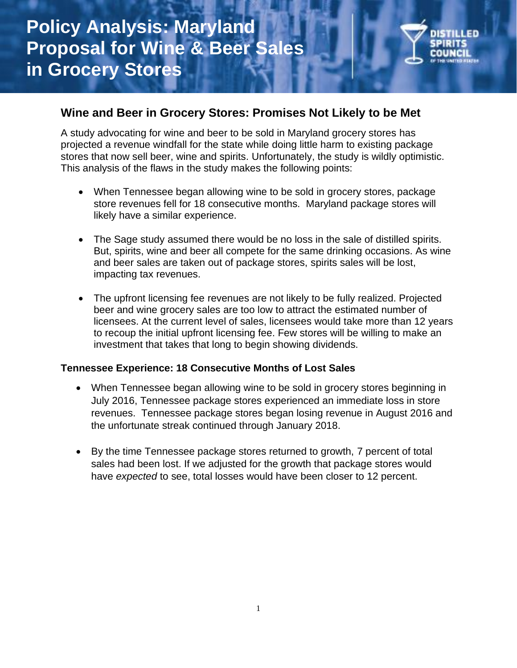

# **Wine and Beer in Grocery Stores: Promises Not Likely to be Met**

A study advocating for wine and beer to be sold in Maryland grocery stores has projected a revenue windfall for the state while doing little harm to existing package stores that now sell beer, wine and spirits. Unfortunately, the study is wildly optimistic. This analysis of the flaws in the study makes the following points:

- When Tennessee began allowing wine to be sold in grocery stores, package store revenues fell for 18 consecutive months. Maryland package stores will likely have a similar experience.
- The Sage study assumed there would be no loss in the sale of distilled spirits. But, spirits, wine and beer all compete for the same drinking occasions. As wine and beer sales are taken out of package stores, spirits sales will be lost, impacting tax revenues.
- The upfront licensing fee revenues are not likely to be fully realized. Projected beer and wine grocery sales are too low to attract the estimated number of licensees. At the current level of sales, licensees would take more than 12 years to recoup the initial upfront licensing fee. Few stores will be willing to make an investment that takes that long to begin showing dividends.

### **Tennessee Experience: 18 Consecutive Months of Lost Sales**

- When Tennessee began allowing wine to be sold in grocery stores beginning in July 2016, Tennessee package stores experienced an immediate loss in store revenues. Tennessee package stores began losing revenue in August 2016 and the unfortunate streak continued through January 2018.
- By the time Tennessee package stores returned to growth, 7 percent of total sales had been lost. If we adjusted for the growth that package stores would have *expected* to see, total losses would have been closer to 12 percent.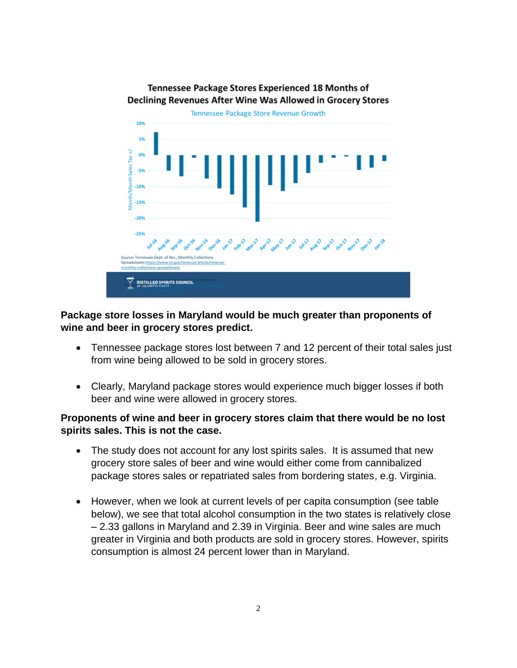#### Tennessee Package Stores Experienced 18 Months of Declining Revenues After Wine Was Allowed in Grocery Stores



# **Package store losses in Maryland would be much greater than proponents of wine and beer in grocery stores predict.**

- Tennessee package stores lost between 7 and 12 percent of their total sales just from wine being allowed to be sold in grocery stores.
- Clearly, Maryland package stores would experience much bigger losses if both beer and wine were allowed in grocery stores.

## **Proponents of wine and beer in grocery stores claim that there would be no lost spirits sales. This is not the case.**

- The study does not account for any lost spirits sales. It is assumed that new grocery store sales of beer and wine would either come from cannibalized package stores sales or repatriated sales from bordering states, e.g. Virginia.
- However, when we look at current levels of per capita consumption (see table below), we see that total alcohol consumption in the two states is relatively close – 2.33 gallons in Maryland and 2.39 in Virginia. Beer and wine sales are much greater in Virginia and both products are sold in grocery stores. However, spirits consumption is almost 24 percent lower than in Maryland.